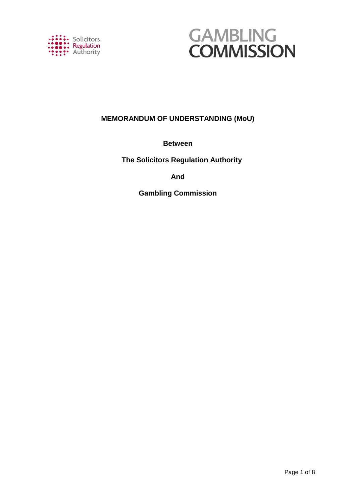



# **MEMORANDUM OF UNDERSTANDING (MoU)**

# **Between**

 **The Solicitors Regulation Authority**

# **And**

**Gambling Commission**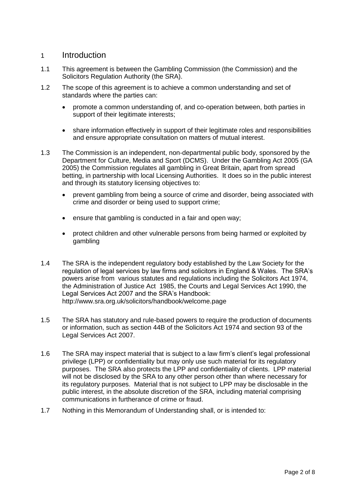## 1 Introduction

- 1.1 This agreement is between the Gambling Commission (the Commission) and the Solicitors Regulation Authority (the SRA).
- 1.2 The scope of this agreement is to achieve a common understanding and set of standards where the parties can:
	- promote a common understanding of, and co-operation between, both parties in support of their legitimate interests;
	- share information effectively in support of their legitimate roles and responsibilities and ensure appropriate consultation on matters of mutual interest.
- 1.3 The Commission is an independent, non-departmental public body, sponsored by the Department for Culture, Media and Sport (DCMS). Under the Gambling Act 2005 (GA 2005) the Commission regulates all gambling in Great Britain, apart from spread betting, in partnership with local Licensing Authorities. It does so in the public interest and through its statutory licensing objectives to:
	- prevent gambling from being a source of crime and disorder, being associated with crime and disorder or being used to support crime;
	- ensure that gambling is conducted in a fair and open way;
	- protect children and other vulnerable persons from being harmed or exploited by gambling
- 1.4 The SRA is the independent regulatory body established by the Law Society for the regulation of legal services by law firms and solicitors in England & Wales. The SRA's powers arise from various statutes and regulations including the Solicitors Act 1974, the Administration of Justice Act 1985, the Courts and Legal Services Act 1990, the Legal Services Act 2007 and the SRA's Handbook: <http://www.sra.org.uk/solicitors/handbook/welcome.page>
- 1.5 The SRA has statutory and rule-based powers to require the production of documents or information, such as section 44B of the Solicitors Act 1974 and section 93 of the Legal Services Act 2007.
- 1.6 The SRA may inspect material that is subject to a law firm's client's legal professional privilege (LPP) or confidentiality but may only use such material for its regulatory purposes. The SRA also protects the LPP and confidentiality of clients. LPP material will not be disclosed by the SRA to any other person other than where necessary for its regulatory purposes. Material that is not subject to LPP may be disclosable in the public interest, in the absolute discretion of the SRA, including material comprising communications in furtherance of crime or fraud.
- 1.7 Nothing in this Memorandum of Understanding shall, or is intended to: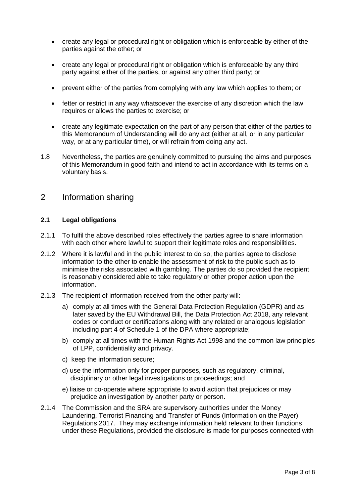- create any legal or procedural right or obligation which is enforceable by either of the parties against the other; or
- create any legal or procedural right or obligation which is enforceable by any third party against either of the parties, or against any other third party; or
- prevent either of the parties from complying with any law which applies to them; or
- fetter or restrict in any way whatsoever the exercise of any discretion which the law requires or allows the parties to exercise; or
- create any legitimate expectation on the part of any person that either of the parties to this Memorandum of Understanding will do any act (either at all, or in any particular way, or at any particular time), or will refrain from doing any act.
- 1.8 Nevertheless, the parties are genuinely committed to pursuing the aims and purposes of this Memorandum in good faith and intend to act in accordance with its terms on a voluntary basis.

## 2 Information sharing

#### **2.1 Legal obligations**

- 2.1.1 To fulfil the above described roles effectively the parties agree to share information with each other where lawful to support their legitimate roles and responsibilities.
- 2.1.2 Where it is lawful and in the public interest to do so, the parties agree to disclose information to the other to enable the assessment of risk to the public such as to minimise the risks associated with gambling. The parties do so provided the recipient is reasonably considered able to take regulatory or other proper action upon the information.
- 2.1.3 The recipient of information received from the other party will:
	- a) comply at all times with the General Data Protection Regulation (GDPR) and as later saved by the EU Withdrawal Bill, the Data Protection Act 2018, any relevant codes or conduct or certifications along with any related or analogous legislation including part 4 of Schedule 1 of the DPA where appropriate;
	- b) comply at all times with the Human Rights Act 1998 and the common law principles of LPP, confidentiality and privacy.
	- c) keep the information secure;
	- d) use the information only for proper purposes, such as regulatory, criminal, disciplinary or other legal investigations or proceedings; and
	- e) liaise or co-operate where appropriate to avoid action that prejudices or may prejudice an investigation by another party or person.
- 2.1.4 The Commission and the SRA are supervisory authorities under the Money Laundering, Terrorist Financing and Transfer of Funds (Information on the Payer) Regulations 2017. They may exchange information held relevant to their functions under these Regulations, provided the disclosure is made for purposes connected with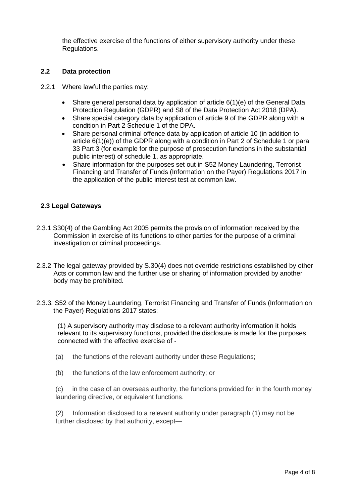the effective exercise of the functions of either supervisory authority under these Regulations.

#### **2.2 Data protection**

- 2.2.1 Where lawful the parties may:
	- Share general personal data by application of article  $6(1)(e)$  of the General Data Protection Regulation (GDPR) and S8 of the Data Protection Act 2018 (DPA).
	- Share special category data by application of article 9 of the GDPR along with a condition in Part 2 Schedule 1 of the DPA.
	- Share personal criminal offence data by application of article 10 (in addition to article 6(1)(e)) of the GDPR along with a condition in Part 2 of Schedule 1 or para 33 Part 3 (for example for the purpose of prosecution functions in the substantial public interest) of schedule 1, as appropriate.
	- Share information for the purposes set out in S52 Money Laundering, Terrorist Financing and Transfer of Funds (Information on the Payer) Regulations 2017 in the application of the public interest test at common law.

### **2.3 Legal Gateways**

- 2.3.1 S30(4) of the Gambling Act 2005 permits the provision of information received by the Commission in exercise of its functions to other parties for the purpose of a criminal investigation or criminal proceedings.
- 2.3.2 The legal gateway provided by S.30(4) does not override restrictions established by other Acts or common law and the further use or sharing of information provided by another body may be prohibited.
- 2.3.3. S52 of the Money Laundering, Terrorist Financing and Transfer of Funds (Information on the Payer) Regulations 2017 states:

(1) A supervisory authority may disclose to a relevant authority information it holds relevant to its supervisory functions, provided the disclosure is made for the purposes connected with the effective exercise of -

- (a) the functions of the relevant authority under these Regulations;
- (b) the functions of the law enforcement authority; or

(c) in the case of an overseas authority, the functions provided for in the fourth money laundering directive, or equivalent functions.

(2) Information disclosed to a relevant authority under paragraph (1) may not be further disclosed by that authority, except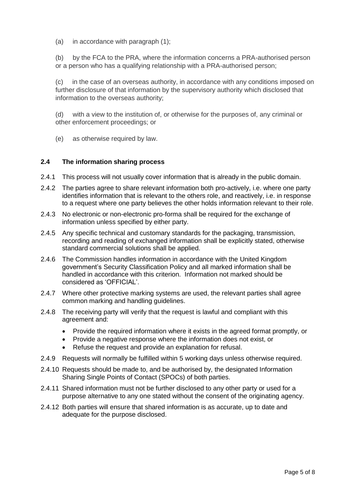(a) in accordance with paragraph (1);

(b) by the FCA to the PRA, where the information concerns a PRA-authorised person or a person who has a qualifying relationship with a PRA-authorised person;

(c) in the case of an overseas authority, in accordance with any conditions imposed on further disclosure of that information by the supervisory authority which disclosed that information to the overseas authority;

(d) with a view to the institution of, or otherwise for the purposes of, any criminal or other enforcement proceedings; or

(e) as otherwise required by law.

#### **2.4 The information sharing process**

- 2.4.1 This process will not usually cover information that is already in the public domain.
- 2.4.2 The parties agree to share relevant information both pro-actively, i.e. where one party identifies information that is relevant to the others role, and reactively, i.e. in response to a request where one party believes the other holds information relevant to their role.
- 2.4.3 No electronic or non-electronic pro-forma shall be required for the exchange of information unless specified by either party.
- 2.4.5 Any specific technical and customary standards for the packaging, transmission, recording and reading of exchanged information shall be explicitly stated, otherwise standard commercial solutions shall be applied.
- 2.4.6 The Commission handles information in accordance with the United Kingdom government's Security Classification Policy and all marked information shall be handled in accordance with this criterion. Information not marked should be considered as 'OFFICIAL'.
- 2.4.7 Where other protective marking systems are used, the relevant parties shall agree common marking and handling guidelines.
- 2.4.8 The receiving party will verify that the request is lawful and compliant with this agreement and:
	- Provide the required information where it exists in the agreed format promptly, or
	- Provide a negative response where the information does not exist, or
	- Refuse the request and provide an explanation for refusal.
- 2.4.9 Requests will normally be fulfilled within 5 working days unless otherwise required.
- 2.4.10 Requests should be made to, and be authorised by, the designated Information Sharing Single Points of Contact (SPOCs) of both parties.
- 2.4.11 Shared information must not be further disclosed to any other party or used for a purpose alternative to any one stated without the consent of the originating agency.
- 2.4.12 Both parties will ensure that shared information is as accurate, up to date and adequate for the purpose disclosed.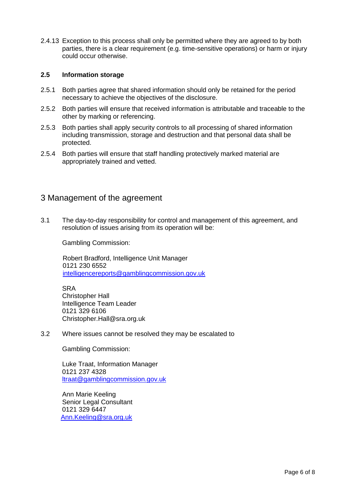2.4.13 Exception to this process shall only be permitted where they are agreed to by both parties, there is a clear requirement (e.g. time-sensitive operations) or harm or injury could occur otherwise.

#### **2.5 Information storage**

- 2.5.1 Both parties agree that shared information should only be retained for the period necessary to achieve the objectives of the disclosure.
- 2.5.2 Both parties will ensure that received information is attributable and traceable to the other by marking or referencing.
- 2.5.3 Both parties shall apply security controls to all processing of shared information including transmission, storage and destruction and that personal data shall be protected.
- 2.5.4 Both parties will ensure that staff handling protectively marked material are appropriately trained and vetted.

## 3 Management of the agreement

3.1 The day-to-day responsibility for control and management of this agreement, and resolution of issues arising from its operation will be:

Gambling Commission:

 Robert Bradford, Intelligence Unit Manager 0121 230 6552 [intelligencereports@gamblingcommission.gov.uk](mailto:intelligencereports@gamblingcommission.gov.uk)

**SRA** Christopher Hall Intelligence Team Leader 0121 329 6106 Christopher.Hall@sra.org.uk

3.2 Where issues cannot be resolved they may be escalated to

Gambling Commission:

Luke Traat, Information Manager 0121 237 4328 [ltraat@gamblingcommission.gov.uk](mailto:ltraat@gamblingcommission.gov.uk)

Ann Marie Keeling Senior Legal Consultant 0121 329 6447 [Ann.Keeling@sra.org.uk](mailto:Ann.Keeling@sra.org.uk)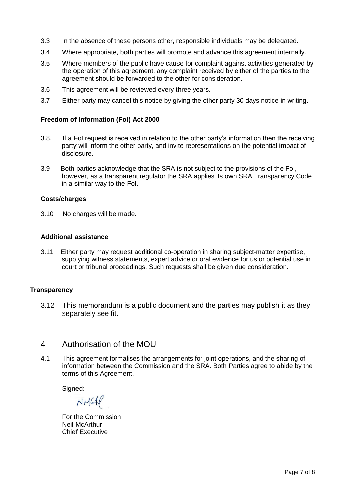- 3.3 In the absence of these persons other, responsible individuals may be delegated.
- 3.4 Where appropriate, both parties will promote and advance this agreement internally.
- 3.5 Where members of the public have cause for complaint against activities generated by the operation of this agreement, any complaint received by either of the parties to the agreement should be forwarded to the other for consideration.
- 3.6 This agreement will be reviewed every three years.
- 3.7 Either party may cancel this notice by giving the other party 30 days notice in writing.

#### **Freedom of Information (FoI) Act 2000**

- 3.8. If a FoI request is received in relation to the other party's information then the receiving party will inform the other party, and invite representations on the potential impact of disclosure.
- 3.9 Both parties acknowledge that the SRA is not subject to the provisions of the FoI, however, as a transparent regulator the SRA applies its own SRA Transparency Code in a similar way to the FoI.

#### **Costs/charges**

3.10 No charges will be made.

#### **Additional assistance**

3.11 Either party may request additional co-operation in sharing subject-matter expertise, supplying witness statements, expert advice or oral evidence for us or potential use in court or tribunal proceedings. Such requests shall be given due consideration.

#### **Transparency**

3.12 This memorandum is a public document and the parties may publish it as they separately see fit.

### 4 Authorisation of the MOU

4.1 This agreement formalises the arrangements for joint operations, and the sharing of information between the Commission and the SRA. Both Parties agree to abide by the terms of this Agreement.

Signed:

NMCAP

For the Commission Neil McArthur Chief Executive